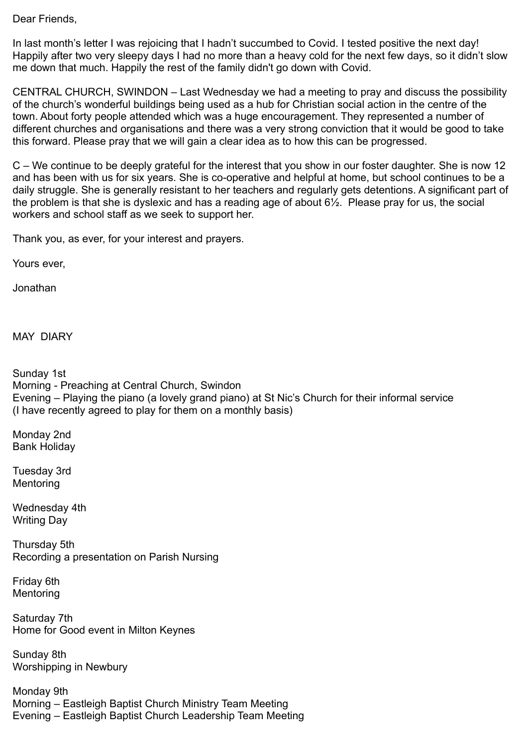Dear Friends,

In last month's letter I was rejoicing that I hadn't succumbed to Covid. I tested positive the next day! Happily after two very sleepy days I had no more than a heavy cold for the next few days, so it didn't slow me down that much. Happily the rest of the family didn't go down with Covid.

CENTRAL CHURCH, SWINDON – Last Wednesday we had a meeting to pray and discuss the possibility of the church's wonderful buildings being used as a hub for Christian social action in the centre of the town. About forty people attended which was a huge encouragement. They represented a number of different churches and organisations and there was a very strong conviction that it would be good to take this forward. Please pray that we will gain a clear idea as to how this can be progressed.

C – We continue to be deeply grateful for the interest that you show in our foster daughter. She is now 12 and has been with us for six years. She is co-operative and helpful at home, but school continues to be a daily struggle. She is generally resistant to her teachers and regularly gets detentions. A significant part of the problem is that she is dyslexic and has a reading age of about 6½. Please pray for us, the social workers and school staff as we seek to support her.

Thank you, as ever, for your interest and prayers.

Yours ever,

Jonathan

MAY DIARY

Sunday 1st Morning - Preaching at Central Church, Swindon Evening – Playing the piano (a lovely grand piano) at St Nic's Church for their informal service (I have recently agreed to play for them on a monthly basis)

Monday 2nd Bank Holiday

Tuesday 3rd **Mentoring** 

Wednesday 4th Writing Day

Thursday 5th Recording a presentation on Parish Nursing

Friday 6th Mentoring

Saturday 7th Home for Good event in Milton Keynes

Sunday 8th Worshipping in Newbury

Monday 9th Morning – Eastleigh Baptist Church Ministry Team Meeting Evening – Eastleigh Baptist Church Leadership Team Meeting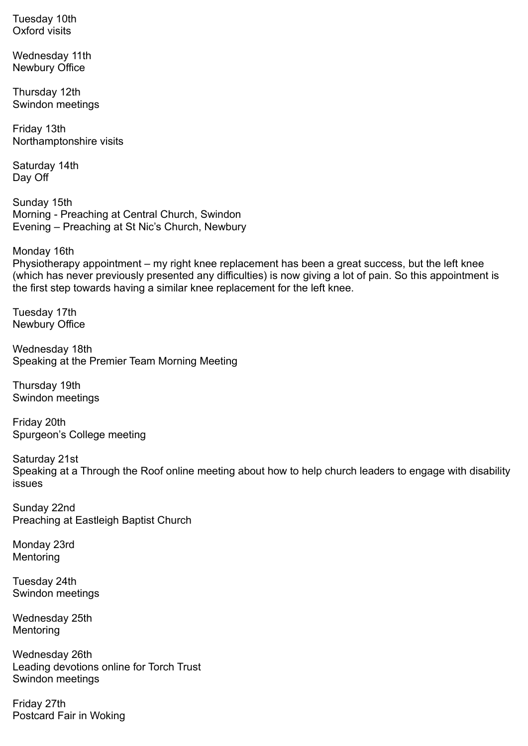Tuesday 10th Oxford visits

Wednesday 11th Newbury Office

Thursday 12th Swindon meetings

Friday 13th Northamptonshire visits

Saturday 14th Day Off

Sunday 15th Morning - Preaching at Central Church, Swindon Evening – Preaching at St Nic's Church, Newbury

Monday 16th

Physiotherapy appointment – my right knee replacement has been a great success, but the left knee (which has never previously presented any difficulties) is now giving a lot of pain. So this appointment is the first step towards having a similar knee replacement for the left knee.

Tuesday 17th Newbury Office

Wednesday 18th Speaking at the Premier Team Morning Meeting

Thursday 19th Swindon meetings

Friday 20th Spurgeon's College meeting

Saturday 21st Speaking at a Through the Roof online meeting about how to help church leaders to engage with disability issues

Sunday 22nd Preaching at Eastleigh Baptist Church

Monday 23rd **Mentoring** 

Tuesday 24th Swindon meetings

Wednesday 25th Mentoring

Wednesday 26th Leading devotions online for Torch Trust Swindon meetings

Friday 27th Postcard Fair in Woking